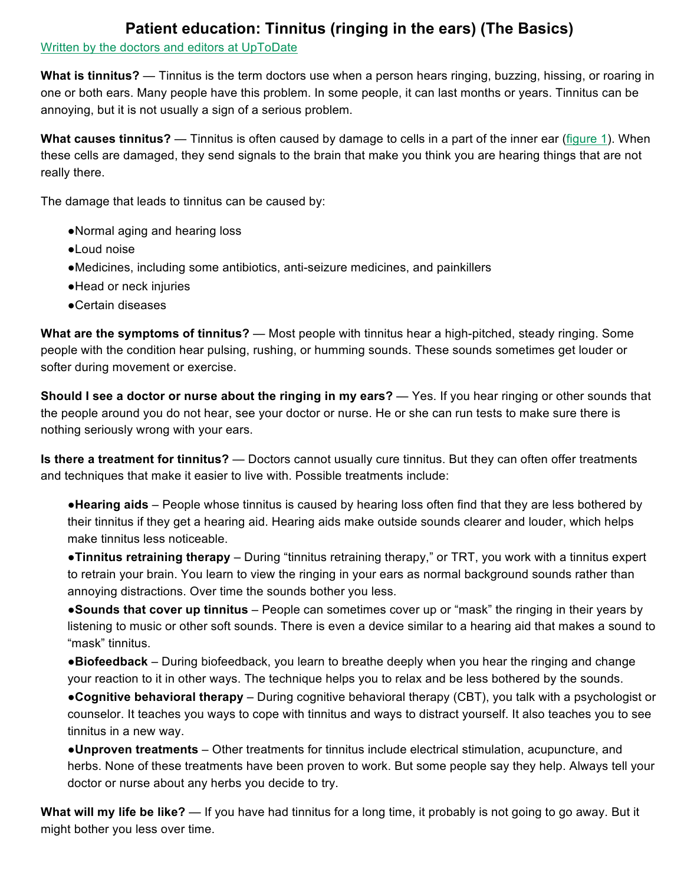## **Patient education: Tinnitus (ringing in the ears) (The Basics)**

Written by the doctors and editors at UpToDate

**What is tinnitus?** — Tinnitus is the term doctors use when a person hears ringing, buzzing, hissing, or roaring in one or both ears. Many people have this problem. In some people, it can last months or years. Tinnitus can be annoying, but it is not usually a sign of a serious problem.

**What causes tinnitus?** — Tinnitus is often caused by damage to cells in a part of the inner ear (figure 1). When these cells are damaged, they send signals to the brain that make you think you are hearing things that are not really there.

The damage that leads to tinnitus can be caused by:

- ●Normal aging and hearing loss
- ●Loud noise
- ●Medicines, including some antibiotics, anti-seizure medicines, and painkillers
- ●Head or neck injuries
- ●Certain diseases

**What are the symptoms of tinnitus?** — Most people with tinnitus hear a high-pitched, steady ringing. Some people with the condition hear pulsing, rushing, or humming sounds. These sounds sometimes get louder or softer during movement or exercise.

**Should I see a doctor or nurse about the ringing in my ears?** — Yes. If you hear ringing or other sounds that the people around you do not hear, see your doctor or nurse. He or she can run tests to make sure there is nothing seriously wrong with your ears.

**Is there a treatment for tinnitus?** — Doctors cannot usually cure tinnitus. But they can often offer treatments and techniques that make it easier to live with. Possible treatments include:

●**Hearing aids** – People whose tinnitus is caused by hearing loss often find that they are less bothered by their tinnitus if they get a hearing aid. Hearing aids make outside sounds clearer and louder, which helps make tinnitus less noticeable.

●**Tinnitus retraining therapy** – During "tinnitus retraining therapy," or TRT, you work with a tinnitus expert to retrain your brain. You learn to view the ringing in your ears as normal background sounds rather than annoying distractions. Over time the sounds bother you less.

●**Sounds that cover up tinnitus** – People can sometimes cover up or "mask" the ringing in their years by listening to music or other soft sounds. There is even a device similar to a hearing aid that makes a sound to "mask" tinnitus.

●**Biofeedback** – During biofeedback, you learn to breathe deeply when you hear the ringing and change your reaction to it in other ways. The technique helps you to relax and be less bothered by the sounds.

●**Cognitive behavioral therapy** – During cognitive behavioral therapy (CBT), you talk with a psychologist or counselor. It teaches you ways to cope with tinnitus and ways to distract yourself. It also teaches you to see tinnitus in a new way.

●**Unproven treatments** – Other treatments for tinnitus include electrical stimulation, acupuncture, and herbs. None of these treatments have been proven to work. But some people say they help. Always tell your doctor or nurse about any herbs you decide to try.

**What will my life be like?** — If you have had tinnitus for a long time, it probably is not going to go away. But it might bother you less over time.